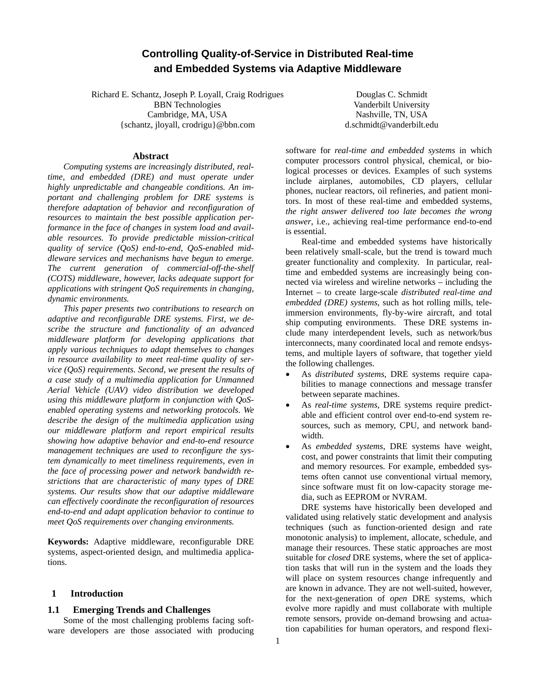# **Controlling Quality-of-Service in Distributed Real-time and Embedded Systems via Adaptive Middleware**

Richard E. Schantz, Joseph P. Loyall, Craig Rodrigues BBN Technologies Cambridge, MA, USA {schantz, jloyall, crodrigu}@bbn.com

Douglas C. Schmidt Vanderbilt University Nashville, TN, USA d.schmidt@vanderbilt.edu

#### **Abstract**

*Computing systems are increasingly distributed, realtime, and embedded (DRE) and must operate under highly unpredictable and changeable conditions. An important and challenging problem for DRE systems is therefore adaptation of behavior and reconfiguration of resources to maintain the best possible application performance in the face of changes in system load and available resources. To provide predictable mission-critical quality of service (QoS) end-to-end, QoS-enabled middleware services and mechanisms have begun to emerge. The current generation of commercial-off-the-shelf (COTS) middleware, however, lacks adequate support for applications with stringent QoS requirements in changing, dynamic environments.* 

*This paper presents two contributions to research on adaptive and reconfigurable DRE systems. First, we describe the structure and functionality of an advanced middleware platform for developing applications that apply various techniques to adapt themselves to changes in resource availability to meet real-time quality of service (QoS) requirements. Second, we present the results of a case study of a multimedia application for Unmanned Aerial Vehicle (UAV) video distribution we developed using this middleware platform in conjunction with QoSenabled operating systems and networking protocols. We describe the design of the multimedia application using our middleware platform and report empirical results showing how adaptive behavior and end-to-end resource management techniques are used to reconfigure the system dynamically to meet timeliness requirements, even in the face of processing power and network bandwidth restrictions that are characteristic of many types of DRE systems. Our results show that our adaptive middleware can effectively coordinate the reconfiguration of resources end-to-end and adapt application behavior to continue to meet QoS requirements over changing environments.* 

**Keywords:** Adaptive middleware, reconfigurable DRE systems, aspect-oriented design, and multimedia applications.

### **1 Introduction**

#### **1.1 Emerging Trends and Challenges**

Some of the most challenging problems facing software developers are those associated with producing software for *real-time and embedded systems* in which computer processors control physical, chemical, or biological processes or devices. Examples of such systems include airplanes, automobiles, CD players, cellular phones, nuclear reactors, oil refineries, and patient monitors. In most of these real-time and embedded systems, *the right answer delivered too late becomes the wrong answer*, i.e., achieving real-time performance end-to-end is essential.

Real-time and embedded systems have historically been relatively small-scale, but the trend is toward much greater functionality and complexity. In particular, realtime and embedded systems are increasingly being connected via wireless and wireline networks – including the Internet – to create large-scale *distributed real-time and embedded (DRE) systems*, such as hot rolling mills, teleimmersion environments, fly-by-wire aircraft, and total ship computing environments. These DRE systems include many interdependent levels, such as network/bus interconnects, many coordinated local and remote endsystems, and multiple layers of software, that together yield the following challenges.

- As *distributed systems*, DRE systems require capabilities to manage connections and message transfer between separate machines.
- As *real-time systems*, DRE systems require predictable and efficient control over end-to-end system resources, such as memory, CPU, and network bandwidth.
- As *embedded systems*, DRE systems have weight, cost, and power constraints that limit their computing and memory resources. For example, embedded systems often cannot use conventional virtual memory, since software must fit on low-capacity storage media, such as EEPROM or NVRAM.

DRE systems have historically been developed and validated using relatively static development and analysis techniques (such as function-oriented design and rate monotonic analysis) to implement, allocate, schedule, and manage their resources. These static approaches are most suitable for *closed* DRE systems, where the set of application tasks that will run in the system and the loads they will place on system resources change infrequently and are known in advance. They are not well-suited, however, for the next-generation of *open* DRE systems, which evolve more rapidly and must collaborate with multiple remote sensors, provide on-demand browsing and actuation capabilities for human operators, and respond flexi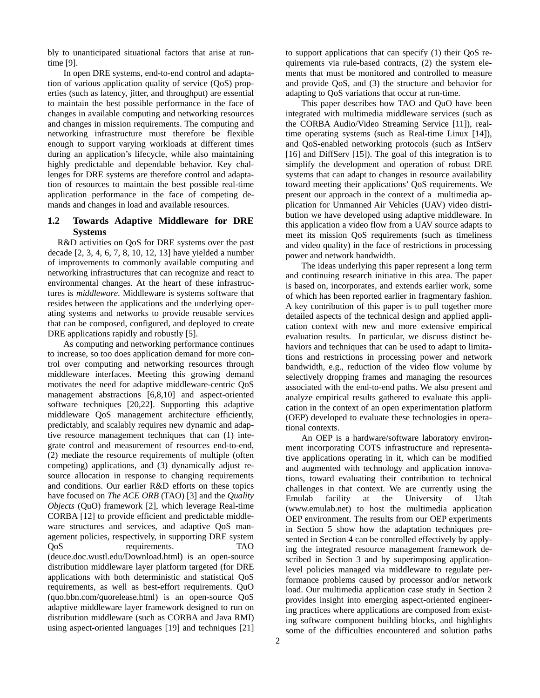bly to unanticipated situational factors that arise at runtime [9].

In open DRE systems, end-to-end control and adaptation of various application quality of service (QoS) properties (such as latency, jitter, and throughput) are essential to maintain the best possible performance in the face of changes in available computing and networking resources and changes in mission requirements. The computing and networking infrastructure must therefore be flexible enough to support varying workloads at different times during an application's lifecycle, while also maintaining highly predictable and dependable behavior. Key challenges for DRE systems are therefore control and adaptation of resources to maintain the best possible real-time application performance in the face of competing demands and changes in load and available resources.

### **1.2 Towards Adaptive Middleware for DRE Systems**

 R&D activities on QoS for DRE systems over the past decade [2, 3, 4, 6, 7, 8, 10, 12, 13] have yielded a number of improvements to commonly available computing and networking infrastructures that can recognize and react to environmental changes. At the heart of these infrastructures is *middleware*. Middleware is systems software that resides between the applications and the underlying operating systems and networks to provide reusable services that can be composed, configured, and deployed to create DRE applications rapidly and robustly [5].

As computing and networking performance continues to increase, so too does application demand for more control over computing and networking resources through middleware interfaces. Meeting this growing demand motivates the need for adaptive middleware-centric QoS management abstractions [6,8,10] and aspect-oriented software techniques [20,22]. Supporting this adaptive middleware QoS management architecture efficiently, predictably, and scalably requires new dynamic and adaptive resource management techniques that can (1) integrate control and measurement of resources end-to-end, (2) mediate the resource requirements of multiple (often competing) applications, and (3) dynamically adjust resource allocation in response to changing requirements and conditions. Our earlier R&D efforts on these topics have focused on *The ACE ORB* (TAO) [3] and the *Quality Objects* (QuO) framework [2], which leverage Real-time CORBA [12] to provide efficient and predictable middleware structures and services, and adaptive QoS management policies, respectively, in supporting DRE system QoS requirements. TAO (deuce.doc.wustl.edu/Download.html) is an open-source distribution middleware layer platform targeted (for DRE applications with both deterministic and statistical QoS requirements, as well as best-effort requirements. QuO (quo.bbn.com/quorelease.html) is an open-source QoS adaptive middleware layer framework designed to run on distribution middleware (such as CORBA and Java RMI) using aspect-oriented languages [19] and techniques [21]

to support applications that can specify (1) their QoS requirements via rule-based contracts, (2) the system elements that must be monitored and controlled to measure and provide QoS, and (3) the structure and behavior for adapting to QoS variations that occur at run-time.

This paper describes how TAO and QuO have been integrated with multimedia middleware services (such as the CORBA Audio/Video Streaming Service [11]), realtime operating systems (such as Real-time Linux [14]), and QoS-enabled networking protocols (such as IntServ [16] and DiffServ [15]). The goal of this integration is to simplify the development and operation of robust DRE systems that can adapt to changes in resource availability toward meeting their applications' QoS requirements. We present our approach in the context of a multimedia application for Unmanned Air Vehicles (UAV) video distribution we have developed using adaptive middleware. In this application a video flow from a UAV source adapts to meet its mission QoS requirements (such as timeliness and video quality) in the face of restrictions in processing power and network bandwidth.

The ideas underlying this paper represent a long term and continuing research initiative in this area. The paper is based on, incorporates, and extends earlier work, some of which has been reported earlier in fragmentary fashion. A key contribution of this paper is to pull together more detailed aspects of the technical design and applied application context with new and more extensive empirical evaluation results. In particular, we discuss distinct behaviors and techniques that can be used to adapt to limitations and restrictions in processing power and network bandwidth, e.g., reduction of the video flow volume by selectively dropping frames and managing the resources associated with the end-to-end paths. We also present and analyze empirical results gathered to evaluate this application in the context of an open experimentation platform (OEP) developed to evaluate these technologies in operational contexts.

An OEP is a hardware/software laboratory environment incorporating COTS infrastructure and representative applications operating in it, which can be modified and augmented with technology and application innovations, toward evaluating their contribution to technical challenges in that context. We are currently using the Emulab facility at the University of Utah (www.emulab.net) to host the multimedia application OEP environment. The results from our OEP experiments in Section 5 show how the adaptation techniques presented in Section 4 can be controlled effectively by applying the integrated resource management framework described in Section 3 and by superimposing applicationlevel policies managed via middleware to regulate performance problems caused by processor and/or network load. Our multimedia application case study in Section 2 provides insight into emerging aspect-oriented engineering practices where applications are composed from existing software component building blocks, and highlights some of the difficulties encountered and solution paths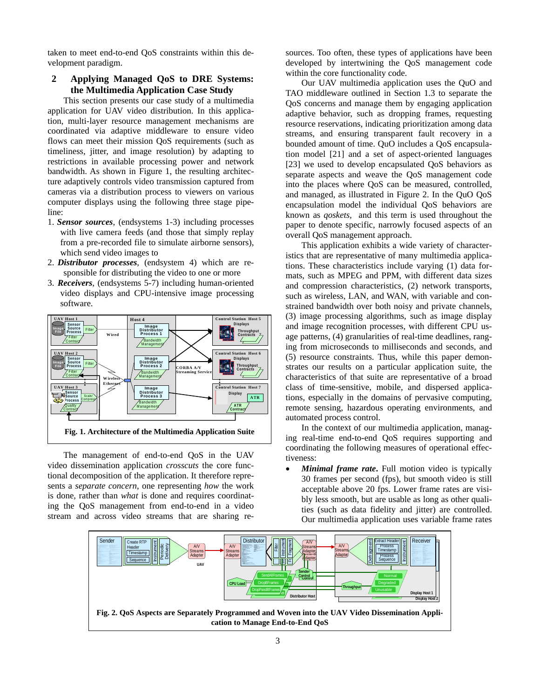taken to meet end-to-end QoS constraints within this development paradigm.

## **2 Applying Managed QoS to DRE Systems: the Multimedia Application Case Study**

This section presents our case study of a multimedia application for UAV video distribution. In this application, multi-layer resource management mechanisms are coordinated via adaptive middleware to ensure video flows can meet their mission QoS requirements (such as timeliness, jitter, and image resolution) by adapting to restrictions in available processing power and network bandwidth. As shown in Figure 1, the resulting architecture adaptively controls video transmission captured from cameras via a distribution process to viewers on various computer displays using the following three stage pipeline:

- 1. *Sensor sources*, (endsystems 1-3) including processes with live camera feeds (and those that simply replay from a pre-recorded file to simulate airborne sensors), which send video images to
- 2. *Distributor processes*, (endsystem 4) which are responsible for distributing the video to one or more
- 3. *Receivers*, (endsystems 5-7) including human-oriented video displays and CPU-intensive image processing software.



The management of end-to-end QoS in the UAV video dissemination application *crosscuts* the core functional decomposition of the application. It therefore represents a *separate concern*, one representing *how* the work is done, rather than *what* is done and requires coordinating the QoS management from end-to-end in a video stream and across video streams that are sharing resources. Too often, these types of applications have been developed by intertwining the QoS management code within the core functionality code.

Our UAV multimedia application uses the QuO and TAO middleware outlined in Section 1.3 to separate the QoS concerns and manage them by engaging application adaptive behavior, such as dropping frames, requesting resource reservations, indicating prioritization among data streams, and ensuring transparent fault recovery in a bounded amount of time. QuO includes a QoS encapsulation model [21] and a set of aspect-oriented languages [23] we used to develop encapsulated QoS behaviors as separate aspects and weave the QoS management code into the places where QoS can be measured, controlled, and managed, as illustrated in Figure 2. In the QuO QoS encapsulation model the individual QoS behaviors are known as *qoskets,* and this term is used throughout the paper to denote specific, narrowly focused aspects of an overall QoS management approach.

This application exhibits a wide variety of characteristics that are representative of many multimedia applications. These characteristics include varying (1) data formats, such as MPEG and PPM, with different data sizes and compression characteristics, (2) network transports, such as wireless, LAN, and WAN, with variable and constrained bandwidth over both noisy and private channels, (3) image processing algorithms, such as image display and image recognition processes, with different CPU usage patterns, (4) granularities of real-time deadlines, ranging from microseconds to milliseconds and seconds, and (5) resource constraints. Thus, while this paper demonstrates our results on a particular application suite, the characteristics of that suite are representative of a broad class of time-sensitive, mobile, and dispersed applications, especially in the domains of pervasive computing, remote sensing, hazardous operating environments, and automated process control.

In the context of our multimedia application, managing real-time end-to-end QoS requires supporting and coordinating the following measures of operational effectiveness:

• *Minimal frame rate***.** Full motion video is typically 30 frames per second (fps), but smooth video is still acceptable above 20 fps. Lower frame rates are visibly less smooth, but are usable as long as other qualities (such as data fidelity and jitter) are controlled. Our multimedia application uses variable frame rates

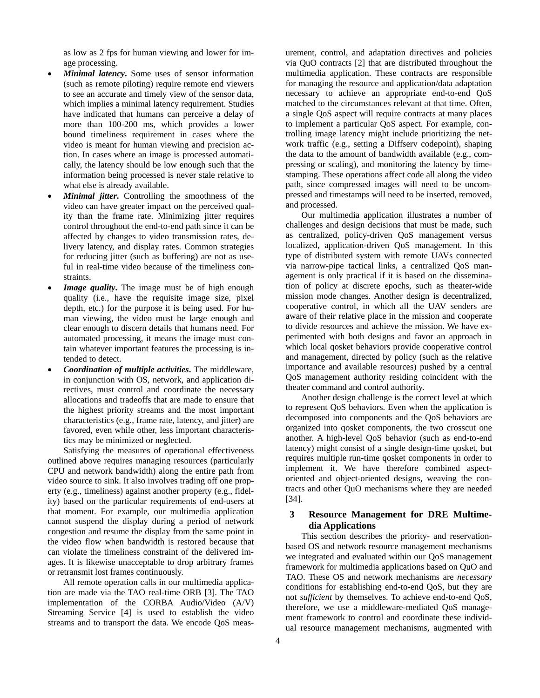as low as 2 fps for human viewing and lower for image processing.

- *Minimal latency***.** Some uses of sensor information (such as remote piloting) require remote end viewers to see an accurate and timely view of the sensor data, which implies a minimal latency requirement. Studies have indicated that humans can perceive a delay of more than 100-200 ms, which provides a lower bound timeliness requirement in cases where the video is meant for human viewing and precision action. In cases where an image is processed automatically, the latency should be low enough such that the information being processed is never stale relative to what else is already available.
- *Minimal jitter***.** Controlling the smoothness of the video can have greater impact on the perceived quality than the frame rate. Minimizing jitter requires control throughout the end-to-end path since it can be affected by changes to video transmission rates, delivery latency, and display rates. Common strategies for reducing jitter (such as buffering) are not as useful in real-time video because of the timeliness constraints.
- *Image quality*. The image must be of high enough quality (i.e., have the requisite image size, pixel depth, etc.) for the purpose it is being used. For human viewing, the video must be large enough and clear enough to discern details that humans need. For automated processing, it means the image must contain whatever important features the processing is intended to detect.
- *Coordination of multiple activities***.** The middleware, in conjunction with OS, network, and application directives, must control and coordinate the necessary allocations and tradeoffs that are made to ensure that the highest priority streams and the most important characteristics (e.g., frame rate, latency, and jitter) are favored, even while other, less important characteristics may be minimized or neglected.

Satisfying the measures of operational effectiveness outlined above requires managing resources (particularly CPU and network bandwidth) along the entire path from video source to sink. It also involves trading off one property (e.g., timeliness) against another property (e.g., fidelity) based on the particular requirements of end-users at that moment. For example, our multimedia application cannot suspend the display during a period of network congestion and resume the display from the same point in the video flow when bandwidth is restored because that can violate the timeliness constraint of the delivered images. It is likewise unacceptable to drop arbitrary frames or retransmit lost frames continuously.

All remote operation calls in our multimedia application are made via the TAO real-time ORB [3]. The TAO implementation of the CORBA Audio/Video (A/V) Streaming Service [4] is used to establish the video streams and to transport the data. We encode QoS measurement, control, and adaptation directives and policies via QuO contracts [2] that are distributed throughout the multimedia application. These contracts are responsible for managing the resource and application/data adaptation necessary to achieve an appropriate end-to-end QoS matched to the circumstances relevant at that time. Often, a single QoS aspect will require contracts at many places to implement a particular QoS aspect. For example, controlling image latency might include prioritizing the network traffic (e.g., setting a Diffserv codepoint), shaping the data to the amount of bandwidth available (e.g., compressing or scaling), and monitoring the latency by timestamping. These operations affect code all along the video path, since compressed images will need to be uncompressed and timestamps will need to be inserted, removed, and processed.

Our multimedia application illustrates a number of challenges and design decisions that must be made, such as centralized, policy-driven QoS management versus localized, application-driven QoS management. In this type of distributed system with remote UAVs connected via narrow-pipe tactical links, a centralized QoS management is only practical if it is based on the dissemination of policy at discrete epochs, such as theater-wide mission mode changes. Another design is decentralized, cooperative control, in which all the UAV senders are aware of their relative place in the mission and cooperate to divide resources and achieve the mission. We have experimented with both designs and favor an approach in which local qosket behaviors provide cooperative control and management, directed by policy (such as the relative importance and available resources) pushed by a central QoS management authority residing coincident with the theater command and control authority.

Another design challenge is the correct level at which to represent QoS behaviors. Even when the application is decomposed into components and the QoS behaviors are organized into qosket components, the two crosscut one another. A high-level QoS behavior (such as end-to-end latency) might consist of a single design-time qosket, but requires multiple run-time qosket components in order to implement it. We have therefore combined aspectoriented and object-oriented designs, weaving the contracts and other QuO mechanisms where they are needed [34].

### **3 Resource Management for DRE Multimedia Applications**

This section describes the priority- and reservationbased OS and network resource management mechanisms we integrated and evaluated within our QoS management framework for multimedia applications based on QuO and TAO. These OS and network mechanisms are *necessary*  conditions for establishing end-to-end QoS, but they are not *sufficient* by themselves. To achieve end-to-end QoS, therefore, we use a middleware-mediated QoS management framework to control and coordinate these individual resource management mechanisms, augmented with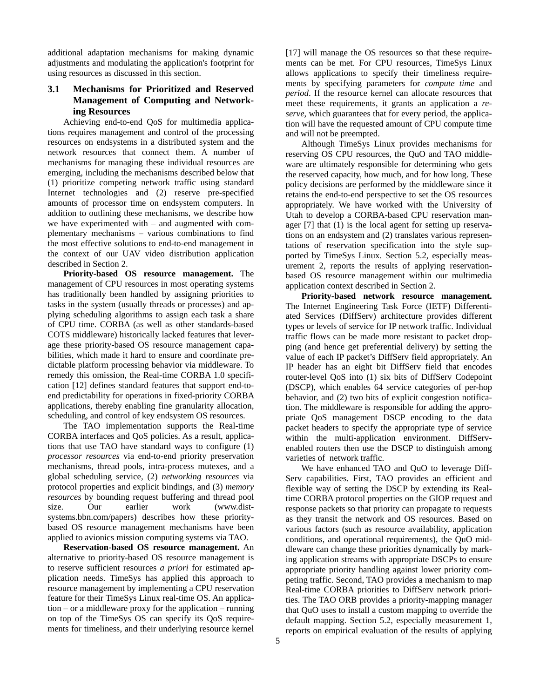additional adaptation mechanisms for making dynamic adjustments and modulating the application's footprint for using resources as discussed in this section.

# **3.1 Mechanisms for Prioritized and Reserved Management of Computing and Networking Resources**

Achieving end-to-end QoS for multimedia applications requires management and control of the processing resources on endsystems in a distributed system and the network resources that connect them. A number of mechanisms for managing these individual resources are emerging, including the mechanisms described below that (1) prioritize competing network traffic using standard Internet technologies and (2) reserve pre-specified amounts of processor time on endsystem computers. In addition to outlining these mechanisms, we describe how we have experimented with – and augmented with complementary mechanisms – various combinations to find the most effective solutions to end-to-end management in the context of our UAV video distribution application described in Section 2.

**Priority-based OS resource management.** The management of CPU resources in most operating systems has traditionally been handled by assigning priorities to tasks in the system (usually threads or processes) and applying scheduling algorithms to assign each task a share of CPU time. CORBA (as well as other standards-based COTS middleware) historically lacked features that leverage these priority-based OS resource management capabilities, which made it hard to ensure and coordinate predictable platform processing behavior via middleware. To remedy this omission, the Real-time CORBA 1.0 specification [12] defines standard features that support end-toend predictability for operations in fixed-priority CORBA applications, thereby enabling fine granularity allocation, scheduling, and control of key endsystem OS resources.

The TAO implementation supports the Real-time CORBA interfaces and QoS policies. As a result, applications that use TAO have standard ways to configure (1) *processor resources* via end-to-end priority preservation mechanisms, thread pools, intra-process mutexes, and a global scheduling service, (2) *networking resources* via protocol properties and explicit bindings, and (3) *memory resources* by bounding request buffering and thread pool size. Our earlier work (www.distsystems.bbn.com/papers) describes how these prioritybased OS resource management mechanisms have been applied to avionics mission computing systems via TAO.

**Reservation-based OS resource management.** An alternative to priority-based OS resource management is to reserve sufficient resources *a priori* for estimated application needs. TimeSys has applied this approach to resource management by implementing a CPU reservation feature for their TimeSys Linux real-time OS. An application – or a middleware proxy for the application – running on top of the TimeSys OS can specify its QoS requirements for timeliness, and their underlying resource kernel

[17] will manage the OS resources so that these requirements can be met. For CPU resources, TimeSys Linux allows applications to specify their timeliness requirements by specifying parameters for *compute time* and *period*. If the resource kernel can allocate resources that meet these requirements, it grants an application a *reserve*, which guarantees that for every period, the application will have the requested amount of CPU compute time and will not be preempted.

Although TimeSys Linux provides mechanisms for reserving OS CPU resources, the QuO and TAO middleware are ultimately responsible for determining who gets the reserved capacity, how much, and for how long. These policy decisions are performed by the middleware since it retains the end-to-end perspective to set the OS resources appropriately. We have worked with the University of Utah to develop a CORBA-based CPU reservation manager [7] that (1) is the local agent for setting up reservations on an endsystem and (2) translates various representations of reservation specification into the style supported by TimeSys Linux. Section 5.2, especially measurement 2, reports the results of applying reservationbased OS resource management within our multimedia application context described in Section 2.

**Priority-based network resource management.** The Internet Engineering Task Force (IETF) Differentiated Services (DiffServ) architecture provides different types or levels of service for IP network traffic. Individual traffic flows can be made more resistant to packet dropping (and hence get preferential delivery) by setting the value of each IP packet's DiffServ field appropriately. An IP header has an eight bit DiffServ field that encodes router-level QoS into (1) six bits of DiffServ Codepoint (DSCP), which enables 64 service categories of per-hop behavior, and (2) two bits of explicit congestion notification. The middleware is responsible for adding the appropriate QoS management DSCP encoding to the data packet headers to specify the appropriate type of service within the multi-application environment. DiffServenabled routers then use the DSCP to distinguish among varieties of network traffic.

We have enhanced TAO and QuO to leverage Diff-Serv capabilities. First, TAO provides an efficient and flexible way of setting the DSCP by extending its Realtime CORBA protocol properties on the GIOP request and response packets so that priority can propagate to requests as they transit the network and OS resources. Based on various factors (such as resource availability, application conditions, and operational requirements), the QuO middleware can change these priorities dynamically by marking application streams with appropriate DSCPs to ensure appropriate priority handling against lower priority competing traffic. Second, TAO provides a mechanism to map Real-time CORBA priorities to DiffServ network priorities. The TAO ORB provides a priority-mapping manager that QuO uses to install a custom mapping to override the default mapping. Section 5.2, especially measurement 1, reports on empirical evaluation of the results of applying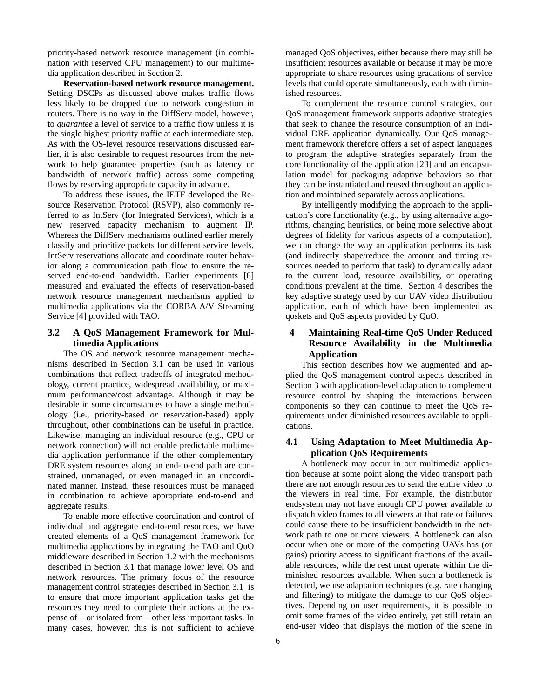priority-based network resource management (in combination with reserved CPU management) to our multimedia application described in Section 2.

**Reservation-based network resource management.**  Setting DSCPs as discussed above makes traffic flows less likely to be dropped due to network congestion in routers. There is no way in the DiffServ model, however, to *guarantee* a level of service to a traffic flow unless it is the single highest priority traffic at each intermediate step. As with the OS-level resource reservations discussed earlier, it is also desirable to request resources from the network to help guarantee properties (such as latency or bandwidth of network traffic) across some competing flows by reserving appropriate capacity in advance.

To address these issues, the IETF developed the Resource Reservation Protocol (RSVP), also commonly referred to as IntServ (for Integrated Services), which is a new reserved capacity mechanism to augment IP. Whereas the DiffServ mechanisms outlined earlier merely classify and prioritize packets for different service levels, IntServ reservations allocate and coordinate router behavior along a communication path flow to ensure the reserved end-to-end bandwidth. Earlier experiments [8] measured and evaluated the effects of reservation-based network resource management mechanisms applied to multimedia applications via the CORBA A/V Streaming Service [4] provided with TAO.

### **3.2 A QoS Management Framework for Multimedia Applications**

The OS and network resource management mechanisms described in Section 3.1 can be used in various combinations that reflect tradeoffs of integrated methodology, current practice, widespread availability, or maximum performance/cost advantage. Although it may be desirable in some circumstances to have a single methodology (i.e., priority-based *or* reservation-based) apply throughout, other combinations can be useful in practice. Likewise, managing an individual resource (e.g., CPU or network connection) will not enable predictable multimedia application performance if the other complementary DRE system resources along an end-to-end path are constrained, unmanaged, or even managed in an uncoordinated manner. Instead, these resources must be managed in combination to achieve appropriate end-to-end and aggregate results.

To enable more effective coordination and control of individual and aggregate end-to-end resources, we have created elements of a QoS management framework for multimedia applications by integrating the TAO and QuO middleware described in Section 1.2 with the mechanisms described in Section 3.1 that manage lower level OS and network resources. The primary focus of the resource management control strategies described in Section 3.1 is to ensure that more important application tasks get the resources they need to complete their actions at the expense of – or isolated from – other less important tasks. In many cases, however, this is not sufficient to achieve managed QoS objectives, either because there may still be insufficient resources available or because it may be more appropriate to share resources using gradations of service levels that could operate simultaneously, each with diminished resources.

To complement the resource control strategies, our QoS management framework supports adaptive strategies that seek to change the resource consumption of an individual DRE application dynamically. Our QoS management framework therefore offers a set of aspect languages to program the adaptive strategies separately from the core functionality of the application [23] and an encapsulation model for packaging adaptive behaviors so that they can be instantiated and reused throughout an application and maintained separately across applications.

By intelligently modifying the approach to the application's core functionality (e.g., by using alternative algorithms, changing heuristics, or being more selective about degrees of fidelity for various aspects of a computation), we can change the way an application performs its task (and indirectly shape/reduce the amount and timing resources needed to perform that task) to dynamically adapt to the current load, resource availability, or operating conditions prevalent at the time. Section 4 describes the key adaptive strategy used by our UAV video distribution application, each of which have been implemented as qoskets and QoS aspects provided by QuO.

# **4 Maintaining Real-time QoS Under Reduced Resource Availability in the Multimedia Application**

This section describes how we augmented and applied the QoS management control aspects described in Section 3 with application-level adaptation to complement resource control by shaping the interactions between components so they can continue to meet the QoS requirements under diminished resources available to applications.

## **4.1 Using Adaptation to Meet Multimedia Application QoS Requirements**

A bottleneck may occur in our multimedia application because at some point along the video transport path there are not enough resources to send the entire video to the viewers in real time. For example, the distributor endsystem may not have enough CPU power available to dispatch video frames to all viewers at that rate or failures could cause there to be insufficient bandwidth in the network path to one or more viewers. A bottleneck can also occur when one or more of the competing UAVs has (or gains) priority access to significant fractions of the available resources, while the rest must operate within the diminished resources available. When such a bottleneck is detected, we use adaptation techniques (e.g. rate changing and filtering) to mitigate the damage to our QoS objectives. Depending on user requirements, it is possible to omit some frames of the video entirely, yet still retain an end-user video that displays the motion of the scene in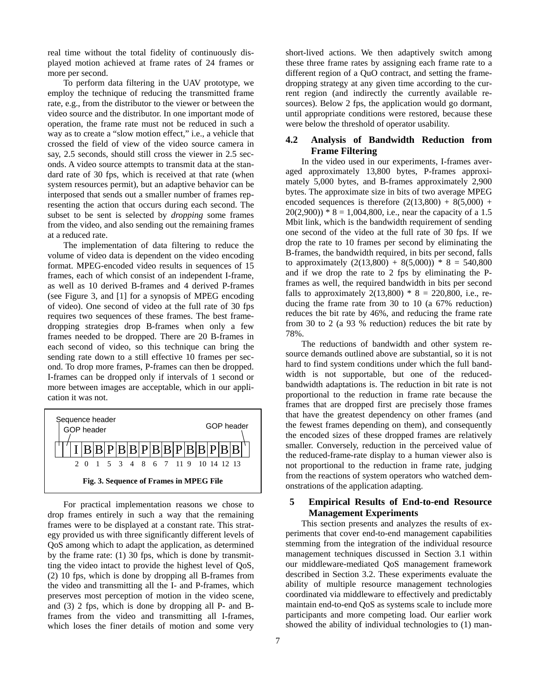real time without the total fidelity of continuously displayed motion achieved at frame rates of 24 frames or more per second.

To perform data filtering in the UAV prototype, we employ the technique of reducing the transmitted frame rate, e.g., from the distributor to the viewer or between the video source and the distributor. In one important mode of operation, the frame rate must not be reduced in such a way as to create a "slow motion effect," i.e., a vehicle that crossed the field of view of the video source camera in say, 2.5 seconds, should still cross the viewer in 2.5 seconds. A video source attempts to transmit data at the standard rate of 30 fps, which is received at that rate (when system resources permit), but an adaptive behavior can be interposed that sends out a smaller number of frames representing the action that occurs during each second. The subset to be sent is selected by *dropping* some frames from the video, and also sending out the remaining frames at a reduced rate.

The implementation of data filtering to reduce the volume of video data is dependent on the video encoding format. MPEG-encoded video results in sequences of 15 frames, each of which consist of an independent I-frame, as well as 10 derived B-frames and 4 derived P-frames (see Figure 3, and [1] for a synopsis of MPEG encoding of video). One second of video at the full rate of 30 fps requires two sequences of these frames. The best framedropping strategies drop B-frames when only a few frames needed to be dropped. There are 20 B-frames in each second of video, so this technique can bring the sending rate down to a still effective 10 frames per second. To drop more frames, P-frames can then be dropped. I-frames can be dropped only if intervals of 1 second or more between images are acceptable, which in our application it was not.



For practical implementation reasons we chose to drop frames entirely in such a way that the remaining frames were to be displayed at a constant rate. This strategy provided us with three significantly different levels of QoS among which to adapt the application, as determined by the frame rate: (1) 30 fps, which is done by transmitting the video intact to provide the highest level of QoS, (2) 10 fps, which is done by dropping all B-frames from the video and transmitting all the I- and P-frames, which preserves most perception of motion in the video scene, and (3) 2 fps, which is done by dropping all P- and Bframes from the video and transmitting all I-frames, which loses the finer details of motion and some very

short-lived actions. We then adaptively switch among these three frame rates by assigning each frame rate to a different region of a QuO contract, and setting the framedropping strategy at any given time according to the current region (and indirectly the currently available resources). Below 2 fps, the application would go dormant, until appropriate conditions were restored, because these were below the threshold of operator usability.

# **4.2 Analysis of Bandwidth Reduction from Frame Filtering**

In the video used in our experiments, I-frames averaged approximately 13,800 bytes, P-frames approximately 5,000 bytes, and B-frames approximately 2,900 bytes. The approximate size in bits of two average MPEG encoded sequences is therefore  $(2(13,800) + 8(5,000) +$  $20(2,900)$  \* 8 = 1,004,800, i.e., near the capacity of a 1.5 Mbit link, which is the bandwidth requirement of sending one second of the video at the full rate of 30 fps. If we drop the rate to 10 frames per second by eliminating the B-frames, the bandwidth required, in bits per second, falls to approximately  $(2(13,800) + 8(5,000)) * 8 = 540,800$ and if we drop the rate to 2 fps by eliminating the Pframes as well, the required bandwidth in bits per second falls to approximately  $2(13,800) * 8 = 220,800$ , i.e., reducing the frame rate from 30 to 10 (a 67% reduction) reduces the bit rate by 46%, and reducing the frame rate from 30 to 2 (a 93 % reduction) reduces the bit rate by 78%.

The reductions of bandwidth and other system resource demands outlined above are substantial, so it is not hard to find system conditions under which the full bandwidth is not supportable, but one of the reducedbandwidth adaptations is. The reduction in bit rate is not proportional to the reduction in frame rate because the frames that are dropped first are precisely those frames that have the greatest dependency on other frames (and the fewest frames depending on them), and consequently the encoded sizes of these dropped frames are relatively smaller. Conversely, reduction in the perceived value of the reduced-frame-rate display to a human viewer also is not proportional to the reduction in frame rate, judging from the reactions of system operators who watched demonstrations of the application adapting.

# **5 Empirical Results of End-to-end Resource Management Experiments**

This section presents and analyzes the results of experiments that cover end-to-end management capabilities stemming from the integration of the individual resource management techniques discussed in Section 3.1 within our middleware-mediated QoS management framework described in Section 3.2. These experiments evaluate the ability of multiple resource management technologies coordinated via middleware to effectively and predictably maintain end-to-end QoS as systems scale to include more participants and more competing load. Our earlier work showed the ability of individual technologies to (1) man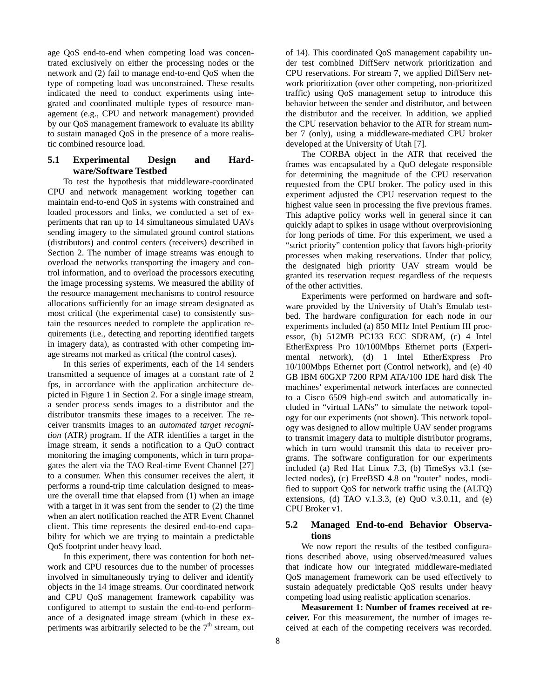age QoS end-to-end when competing load was concentrated exclusively on either the processing nodes or the network and (2) fail to manage end-to-end QoS when the type of competing load was unconstrained. These results indicated the need to conduct experiments using integrated and coordinated multiple types of resource management (e.g., CPU and network management) provided by our QoS management framework to evaluate its ability to sustain managed QoS in the presence of a more realistic combined resource load.

### **5.1 Experimental Design and Hardware/Software Testbed**

To test the hypothesis that middleware-coordinated CPU and network management working together can maintain end-to-end QoS in systems with constrained and loaded processors and links, we conducted a set of experiments that ran up to 14 simultaneous simulated UAVs sending imagery to the simulated ground control stations (distributors) and control centers (receivers) described in Section 2. The number of image streams was enough to overload the networks transporting the imagery and control information, and to overload the processors executing the image processing systems. We measured the ability of the resource management mechanisms to control resource allocations sufficiently for an image stream designated as most critical (the experimental case) to consistently sustain the resources needed to complete the application requirements (i.e., detecting and reporting identified targets in imagery data), as contrasted with other competing image streams not marked as critical (the control cases).

In this series of experiments, each of the 14 senders transmitted a sequence of images at a constant rate of 2 fps, in accordance with the application architecture depicted in Figure 1 in Section 2. For a single image stream, a sender process sends images to a distributor and the distributor transmits these images to a receiver. The receiver transmits images to an *automated target recognition* (ATR) program. If the ATR identifies a target in the image stream, it sends a notification to a QuO contract monitoring the imaging components, which in turn propagates the alert via the TAO Real-time Event Channel [27] to a consumer. When this consumer receives the alert, it performs a round-trip time calculation designed to measure the overall time that elapsed from (1) when an image with a target in it was sent from the sender to (2) the time when an alert notification reached the ATR Event Channel client. This time represents the desired end-to-end capability for which we are trying to maintain a predictable QoS footprint under heavy load.

In this experiment, there was contention for both network and CPU resources due to the number of processes involved in simultaneously trying to deliver and identify objects in the 14 image streams. Our coordinated network and CPU QoS management framework capability was configured to attempt to sustain the end-to-end performance of a designated image stream (which in these experiments was arbitrarily selected to be the  $7<sup>th</sup>$  stream, out

of 14). This coordinated QoS management capability under test combined DiffServ network prioritization and CPU reservations. For stream 7, we applied DiffServ network prioritization (over other competing, non-prioritized traffic) using QoS management setup to introduce this behavior between the sender and distributor, and between the distributor and the receiver. In addition, we applied the CPU reservation behavior to the ATR for stream number 7 (only), using a middleware-mediated CPU broker developed at the University of Utah [7].

The CORBA object in the ATR that received the frames was encapsulated by a QuO delegate responsible for determining the magnitude of the CPU reservation requested from the CPU broker. The policy used in this experiment adjusted the CPU reservation request to the highest value seen in processing the five previous frames. This adaptive policy works well in general since it can quickly adapt to spikes in usage without overprovisioning for long periods of time. For this experiment, we used a "strict priority" contention policy that favors high-priority processes when making reservations. Under that policy, the designated high priority UAV stream would be granted its reservation request regardless of the requests of the other activities.

Experiments were performed on hardware and software provided by the University of Utah's Emulab testbed. The hardware configuration for each node in our experiments included (a) 850 MHz Intel Pentium III processor, (b) 512MB PC133 ECC SDRAM, (c) 4 Intel EtherExpress Pro 10/100Mbps Ethernet ports (Experimental network), (d) 1 Intel EtherExpress Pro 10/100Mbps Ethernet port (Control network), and (e) 40 GB IBM 60GXP 7200 RPM ATA/100 IDE hard disk The machines' experimental network interfaces are connected to a Cisco 6509 high-end switch and automatically included in "virtual LANs" to simulate the network topology for our experiments (not shown). This network topology was designed to allow multiple UAV sender programs to transmit imagery data to multiple distributor programs, which in turn would transmit this data to receiver programs. The software configuration for our experiments included (a) Red Hat Linux 7.3, (b) TimeSys v3.1 (selected nodes), (c) FreeBSD 4.8 on "router" nodes, modified to support QoS for network traffic using the (ALTQ) extensions, (d) TAO v.1.3.3, (e) QuO v.3.0.11, and (e) CPU Broker v1.

### **5.2 Managed End-to-end Behavior Observations**

We now report the results of the testbed configurations described above, using observed/measured values that indicate how our integrated middleware-mediated QoS management framework can be used effectively to sustain adequately predictable QoS results under heavy competing load using realistic application scenarios.

**Measurement 1: Number of frames received at receiver.** For this measurement, the number of images received at each of the competing receivers was recorded.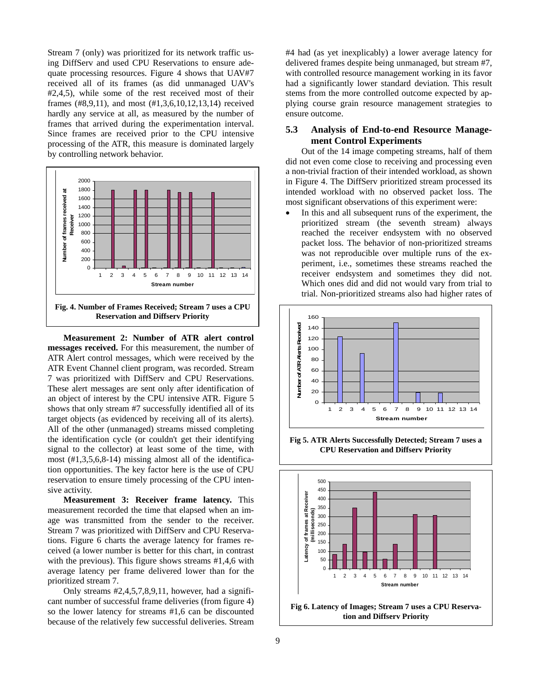Stream 7 (only) was prioritized for its network traffic using DiffServ and used CPU Reservations to ensure adequate processing resources. Figure 4 shows that UAV#7 received all of its frames (as did unmanaged UAV's #2,4,5), while some of the rest received most of their frames (#8,9,11), and most (#1,3,6,10,12,13,14) received hardly any service at all, as measured by the number of frames that arrived during the experimentation interval. Since frames are received prior to the CPU intensive processing of the ATR, this measure is dominated largely by controlling network behavior.



**Measurement 2: Number of ATR alert control messages received.** For this measurement, the number of ATR Alert control messages, which were received by the ATR Event Channel client program, was recorded. Stream 7 was prioritized with DiffServ and CPU Reservations. These alert messages are sent only after identification of an object of interest by the CPU intensive ATR. Figure 5 shows that only stream #7 successfully identified all of its target objects (as evidenced by receiving all of its alerts). All of the other (unmanaged) streams missed completing the identification cycle (or couldn't get their identifying signal to the collector) at least some of the time, with most (#1,3,5,6,8-14) missing almost all of the identification opportunities. The key factor here is the use of CPU reservation to ensure timely processing of the CPU intensive activity.

**Measurement 3: Receiver frame latency.** This measurement recorded the time that elapsed when an image was transmitted from the sender to the receiver. Stream 7 was prioritized with DiffServ and CPU Reservations. Figure 6 charts the average latency for frames received (a lower number is better for this chart, in contrast with the previous). This figure shows streams #1,4,6 with average latency per frame delivered lower than for the prioritized stream 7.

Only streams  $\#2,4,5,7,8,9,11$ , however, had a significant number of successful frame deliveries (from figure 4) so the lower latency for streams #1,6 can be discounted because of the relatively few successful deliveries. Stream

#4 had (as yet inexplicably) a lower average latency for delivered frames despite being unmanaged, but stream #7, with controlled resource management working in its favor had a significantly lower standard deviation. This result stems from the more controlled outcome expected by applying course grain resource management strategies to ensure outcome.

# **5.3 Analysis of End-to-end Resource Management Control Experiments**

Out of the 14 image competing streams, half of them did not even come close to receiving and processing even a non-trivial fraction of their intended workload, as shown in Figure 4. The DiffServ prioritized stream processed its intended workload with no observed packet loss. The most significant observations of this experiment were:

In this and all subsequent runs of the experiment, the prioritized stream (the seventh stream) always reached the receiver endsystem with no observed packet loss. The behavior of non-prioritized streams was not reproducible over multiple runs of the experiment, i.e., sometimes these streams reached the receiver endsystem and sometimes they did not. Which ones did and did not would vary from trial to trial. Non-prioritized streams also had higher rates of



**Fig 5. ATR Alerts Successfully Detected; Stream 7 uses a CPU Reservation and Diffserv Priority**



**Fig 6. Latency of Images; Stream 7 uses a CPU Reservation and Diffserv Priority**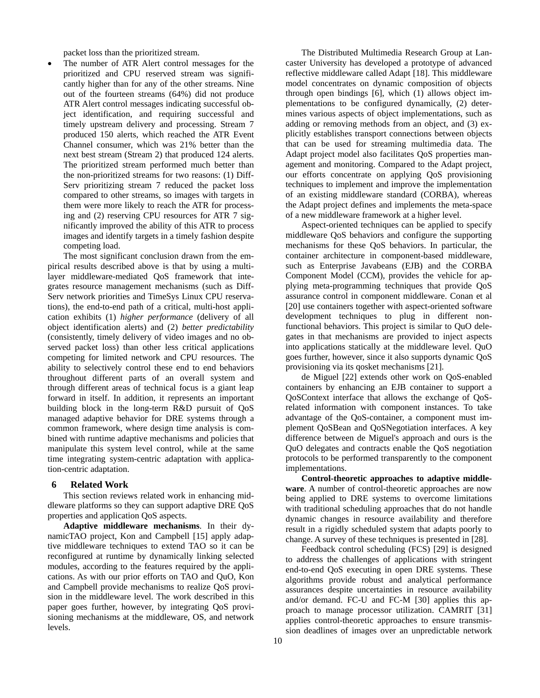packet loss than the prioritized stream.

The number of ATR Alert control messages for the prioritized and CPU reserved stream was significantly higher than for any of the other streams. Nine out of the fourteen streams (64%) did not produce ATR Alert control messages indicating successful object identification, and requiring successful and timely upstream delivery and processing. Stream 7 produced 150 alerts, which reached the ATR Event Channel consumer, which was 21% better than the next best stream (Stream 2) that produced 124 alerts. The prioritized stream performed much better than the non-prioritized streams for two reasons: (1) Diff-Serv prioritizing stream 7 reduced the packet loss compared to other streams, so images with targets in them were more likely to reach the ATR for processing and (2) reserving CPU resources for ATR 7 significantly improved the ability of this ATR to process images and identify targets in a timely fashion despite competing load.

The most significant conclusion drawn from the empirical results described above is that by using a multilayer middleware-mediated QoS framework that integrates resource management mechanisms (such as Diff-Serv network priorities and TimeSys Linux CPU reservations), the end-to-end path of a critical, multi-host application exhibits (1) *higher performance* (delivery of all object identification alerts) and (2) *better predictability* (consistently, timely delivery of video images and no observed packet loss) than other less critical applications competing for limited network and CPU resources. The ability to selectively control these end to end behaviors throughout different parts of an overall system and through different areas of technical focus is a giant leap forward in itself. In addition, it represents an important building block in the long-term R&D pursuit of QoS managed adaptive behavior for DRE systems through a common framework, where design time analysis is combined with runtime adaptive mechanisms and policies that manipulate this system level control, while at the same time integrating system-centric adaptation with application-centric adaptation.

#### **6 Related Work**

This section reviews related work in enhancing middleware platforms so they can support adaptive DRE QoS properties and application QoS aspects.

**Adaptive middleware mechanisms**. In their dynamicTAO project, Kon and Campbell [15] apply adaptive middleware techniques to extend TAO so it can be reconfigured at runtime by dynamically linking selected modules, according to the features required by the applications. As with our prior efforts on TAO and QuO, Kon and Campbell provide mechanisms to realize QoS provision in the middleware level. The work described in this paper goes further, however, by integrating QoS provisioning mechanisms at the middleware, OS, and network levels.

The Distributed Multimedia Research Group at Lancaster University has developed a prototype of advanced reflective middleware called Adapt [18]. This middleware model concentrates on dynamic composition of objects through open bindings [6], which (1) allows object implementations to be configured dynamically, (2) determines various aspects of object implementations, such as adding or removing methods from an object, and (3) explicitly establishes transport connections between objects that can be used for streaming multimedia data. The Adapt project model also facilitates QoS properties management and monitoring. Compared to the Adapt project, our efforts concentrate on applying QoS provisioning techniques to implement and improve the implementation of an existing middleware standard (CORBA), whereas the Adapt project defines and implements the meta-space of a new middleware framework at a higher level.

Aspect-oriented techniques can be applied to specify middleware QoS behaviors and configure the supporting mechanisms for these QoS behaviors. In particular, the container architecture in component-based middleware, such as Enterprise Javabeans (EJB) and the CORBA Component Model (CCM), provides the vehicle for applying meta-programming techniques that provide QoS assurance control in component middleware. Conan et al [20] use containers together with aspect-oriented software development techniques to plug in different nonfunctional behaviors. This project is similar to QuO delegates in that mechanisms are provided to inject aspects into applications statically at the middleware level. QuO goes further, however, since it also supports dynamic QoS provisioning via its qosket mechanisms [21].

de Miguel [22] extends other work on QoS-enabled containers by enhancing an EJB container to support a QoSContext interface that allows the exchange of QoSrelated information with component instances. To take advantage of the QoS-container, a component must implement QoSBean and QoSNegotiation interfaces. A key difference between de Miguel's approach and ours is the QuO delegates and contracts enable the QoS negotiation protocols to be performed transparently to the component implementations.

**Control-theoretic approaches to adaptive middleware**. A number of control-theoretic approaches are now being applied to DRE systems to overcome limitations with traditional scheduling approaches that do not handle dynamic changes in resource availability and therefore result in a rigidly scheduled system that adapts poorly to change. A survey of these techniques is presented in [28].

Feedback control scheduling (FCS) [29] is designed to address the challenges of applications with stringent end-to-end QoS executing in open DRE systems. These algorithms provide robust and analytical performance assurances despite uncertainties in resource availability and/or demand. FC-U and FC-M [30] applies this approach to manage processor utilization. CAMRIT [31] applies control-theoretic approaches to ensure transmission deadlines of images over an unpredictable network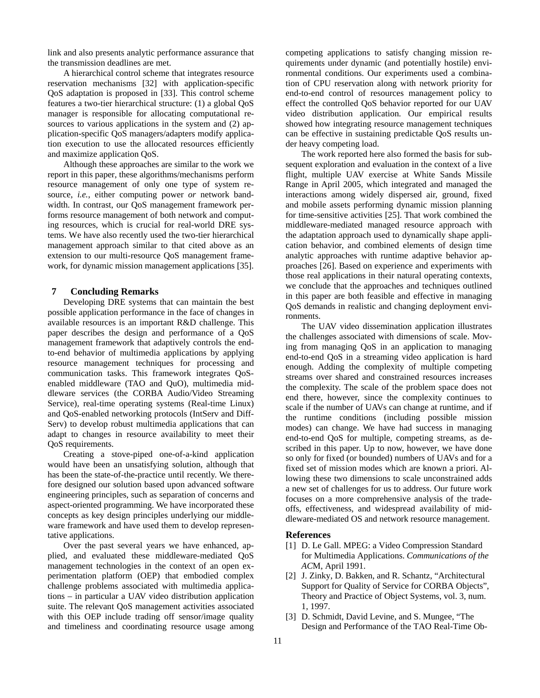link and also presents analytic performance assurance that the transmission deadlines are met.

A hierarchical control scheme that integrates resource reservation mechanisms [32] with application-specific QoS adaptation is proposed in [33]. This control scheme features a two-tier hierarchical structure: (1) a global QoS manager is responsible for allocating computational resources to various applications in the system and (2) application-specific QoS managers/adapters modify application execution to use the allocated resources efficiently and maximize application QoS.

Although these approaches are similar to the work we report in this paper, these algorithms/mechanisms perform resource management of only one type of system resource, *i.e.*, either computing power *or* network bandwidth. In contrast, our QoS management framework performs resource management of both network and computing resources, which is crucial for real-world DRE systems. We have also recently used the two-tier hierarchical management approach similar to that cited above as an extension to our multi-resource QoS management framework, for dynamic mission management applications [35].

#### **7 Concluding Remarks**

Developing DRE systems that can maintain the best possible application performance in the face of changes in available resources is an important R&D challenge. This paper describes the design and performance of a QoS management framework that adaptively controls the endto-end behavior of multimedia applications by applying resource management techniques for processing and communication tasks. This framework integrates QoSenabled middleware (TAO and QuO), multimedia middleware services (the CORBA Audio/Video Streaming Service), real-time operating systems (Real-time Linux) and QoS-enabled networking protocols (IntServ and Diff-Serv) to develop robust multimedia applications that can adapt to changes in resource availability to meet their QoS requirements.

Creating a stove-piped one-of-a-kind application would have been an unsatisfying solution, although that has been the state-of-the-practice until recently. We therefore designed our solution based upon advanced software engineering principles, such as separation of concerns and aspect-oriented programming. We have incorporated these concepts as key design principles underlying our middleware framework and have used them to develop representative applications.

Over the past several years we have enhanced, applied, and evaluated these middleware-mediated QoS management technologies in the context of an open experimentation platform (OEP) that embodied complex challenge problems associated with multimedia applications – in particular a UAV video distribution application suite. The relevant QoS management activities associated with this OEP include trading off sensor/image quality and timeliness and coordinating resource usage among

competing applications to satisfy changing mission requirements under dynamic (and potentially hostile) environmental conditions. Our experiments used a combination of CPU reservation along with network priority for end-to-end control of resources management policy to effect the controlled QoS behavior reported for our UAV video distribution application. Our empirical results showed how integrating resource management techniques can be effective in sustaining predictable QoS results under heavy competing load.

The work reported here also formed the basis for subsequent exploration and evaluation in the context of a live flight, multiple UAV exercise at White Sands Missile Range in April 2005, which integrated and managed the interactions among widely dispersed air, ground, fixed and mobile assets performing dynamic mission planning for time-sensitive activities [25]. That work combined the middleware-mediated managed resource approach with the adaptation approach used to dynamically shape application behavior, and combined elements of design time analytic approaches with runtime adaptive behavior approaches [26]. Based on experience and experiments with those real applications in their natural operating contexts, we conclude that the approaches and techniques outlined in this paper are both feasible and effective in managing QoS demands in realistic and changing deployment environments.

The UAV video dissemination application illustrates the challenges associated with dimensions of scale. Moving from managing QoS in an application to managing end-to-end QoS in a streaming video application is hard enough. Adding the complexity of multiple competing streams over shared and constrained resources increases the complexity. The scale of the problem space does not end there, however, since the complexity continues to scale if the number of UAVs can change at runtime, and if the runtime conditions (including possible mission modes) can change. We have had success in managing end-to-end QoS for multiple, competing streams, as described in this paper. Up to now, however, we have done so only for fixed (or bounded) numbers of UAVs and for a fixed set of mission modes which are known a priori. Allowing these two dimensions to scale unconstrained adds a new set of challenges for us to address. Our future work focuses on a more comprehensive analysis of the tradeoffs, effectiveness, and widespread availability of middleware-mediated OS and network resource management.

#### **References**

- [1] D. Le Gall. MPEG: a Video Compression Standard for Multimedia Applications. *Communications of the AC*M, April 1991.
- [2] J. Zinky, D. Bakken, and R. Schantz, "Architectural Support for Quality of Service for CORBA Objects", Theory and Practice of Object Systems, vol. 3, num. 1, 1997.
- [3] D. Schmidt, David Levine, and S. Mungee, "The Design and Performance of the TAO Real-Time Ob-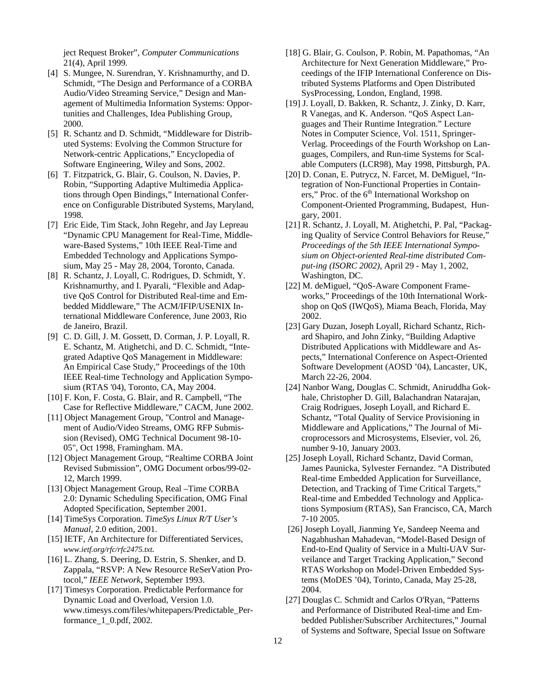ject Request Broker", *Computer Communications* 21(4), April 1999.

- [4] S. Mungee, N. Surendran, Y. Krishnamurthy, and D. Schmidt, "The Design and Performance of a CORBA Audio/Video Streaming Service," Design and Management of Multimedia Information Systems: Opportunities and Challenges, Idea Publishing Group, 2000.
- [5] R. Schantz and D. Schmidt, "Middleware for Distributed Systems: Evolving the Common Structure for Network-centric Applications," Encyclopedia of Software Engineering, Wiley and Sons, 2002.
- [6] T. Fitzpatrick, G. Blair, G. Coulson, N. Davies, P. Robin, "Supporting Adaptive Multimedia Applications through Open Bindings," International Conference on Configurable Distributed Systems, Maryland, 1998.
- [7] Eric Eide, Tim Stack, John Regehr, and Jay Lepreau "Dynamic CPU Management for Real-Time, Middleware-Based Systems," 10th IEEE Real-Time and Embedded Technology and Applications Symposium, May 25 - May 28, 2004, Toronto, Canada.
- [8] R. Schantz, J. Loyall, C. Rodrigues, D. Schmidt, Y. Krishnamurthy, and I. Pyarali, "Flexible and Adaptive QoS Control for Distributed Real-time and Embedded Middleware," The ACM/IFIP/USENIX International Middleware Conference, June 2003, Rio de Janeiro, Brazil.
- [9] C. D. Gill, J. M. Gossett, D. Corman, J. P. Loyall, R. E. Schantz, M. Atighetchi, and D. C. Schmidt, "Integrated Adaptive QoS Management in Middleware: An Empirical Case Study," Proceedings of the 10th IEEE Real-time Technology and Application Symposium (RTAS '04), Toronto, CA, May 2004.
- [10] F. Kon, F. Costa, G. Blair, and R. Campbell, "The Case for Reflective Middleware," CACM, June 2002.
- [11] Object Management Group, "Control and Management of Audio/Video Streams, OMG RFP Submission (Revised), OMG Technical Document 98-10- 05", Oct 1998, Framingham. MA.
- [12] Object Management Group, "Realtime CORBA Joint Revised Submission", OMG Document orbos/99-02- 12, March 1999.
- [13] Object Management Group, Real –Time CORBA 2.0: Dynamic Scheduling Specification, OMG Final Adopted Specification, September 2001.
- [14] TimeSys Corporation. *TimeSys Linux R/T User's Manual*, 2.0 edition, 2001.
- [15] IETF, An Architecture for Differentiated Services, *www.ietf.org/rfc/rfc2475.txt.*
- [16] L. Zhang, S. Deering, D. Estrin, S. Shenker, and D. Zappala, "RSVP: A New Resource ReSerVation Protocol," *IEEE Network*, September 1993.
- [17] Timesys Corporation. Predictable Performance for Dynamic Load and Overload, Version 1.0. www.timesys.com/files/whitepapers/Predictable\_Performance\_1\_0.pdf, 2002.
- [18] G. Blair, G. Coulson, P. Robin, M. Papathomas, "An Architecture for Next Generation Middleware," Proceedings of the IFIP International Conference on Distributed Systems Platforms and Open Distributed SysProcessing, London, England, 1998.
- [19] J. Loyall, D. Bakken, R. Schantz, J. Zinky, D. Karr, R Vanegas, and K. Anderson. "QoS Aspect Languages and Their Runtime Integration." Lecture Notes in Computer Science, Vol. 1511, Springer-Verlag. Proceedings of the Fourth Workshop on Languages, Compilers, and Run-time Systems for Scalable Computers (LCR98), May 1998, Pittsburgh, PA.
- [20] D. Conan, E. Putrycz, N. Farcet, M. DeMiguel, "Integration of Non-Functional Properties in Containers," Proc. of the 6<sup>th</sup> International Workshop on Component-Oriented Programming, Budapest, Hungary, 2001.
- [21] R. Schantz, J. Loyall, M. Atighetchi, P. Pal, "Packaging Quality of Service Control Behaviors for Reuse," *Proceedings of the 5th IEEE International Symposium on Object-oriented Real-time distributed Comput-ing (ISORC 2002)*, April 29 - May 1, 2002, Washington, DC.
- [22] M. deMiguel, "QoS-Aware Component Frameworks," Proceedings of the 10th International Workshop on QoS (IWQoS), Miama Beach, Florida, May 2002.
- [23] Gary Duzan, Joseph Loyall, Richard Schantz, Richard Shapiro, and John Zinky, "Building Adaptive Distributed Applications with Middleware and Aspects," International Conference on Aspect-Oriented Software Development (AOSD '04), Lancaster, UK, March 22-26, 2004.
- [24] Nanbor Wang, Douglas C. Schmidt, Aniruddha Gokhale, Christopher D. Gill, Balachandran Natarajan, Craig Rodrigues, Joseph Loyall, and Richard E. Schantz, "Total Quality of Service Provisioning in Middleware and Applications," The Journal of Microprocessors and Microsystems, Elsevier, vol. 26, number 9-10, January 2003.
- [25] Joseph Loyall, Richard Schantz, David Corman, James Paunicka, Sylvester Fernandez. "A Distributed Real-time Embedded Application for Surveillance, Detection, and Tracking of Time Critical Targets," Real-time and Embedded Technology and Applications Symposium (RTAS), San Francisco, CA, March 7-10 2005.
- [26] Joseph Loyall, Jianming Ye, Sandeep Neema and Nagabhushan Mahadevan, "Model-Based Design of End-to-End Quality of Service in a Multi-UAV Surveilance and Target Tracking Application," Second RTAS Workshop on Model-Driven Embedded Systems (MoDES '04), Torinto, Canada, May 25-28, 2004.
- [27] Douglas C. Schmidt and Carlos O'Ryan, "Patterns and Performance of Distributed Real-time and Embedded Publisher/Subscriber Architectures," Journal of Systems and Software, Special Issue on Software